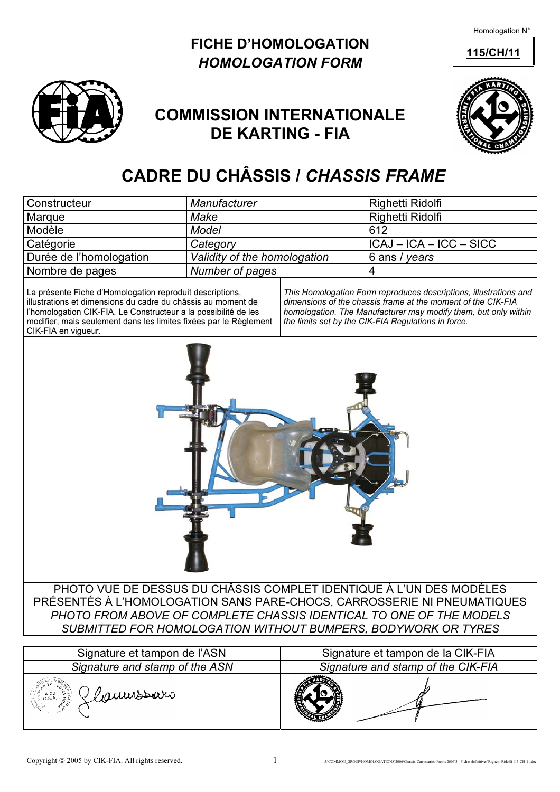Homologation N°

### FICHE D'HOMOLOGATION 115/CH/11 HOMOLOGATION FORM



## COMMISSION INTERNATIONALE DE KARTING - FIA



# CADRE DU CHÂSSIS / CHASSIS FRAME

| Constructeur                                                                                                                                                                                                                                                                            | Manufacturer                 |                                                                                                                                                                                                                                                             | Righetti Ridolfi          |  |
|-----------------------------------------------------------------------------------------------------------------------------------------------------------------------------------------------------------------------------------------------------------------------------------------|------------------------------|-------------------------------------------------------------------------------------------------------------------------------------------------------------------------------------------------------------------------------------------------------------|---------------------------|--|
| Marque                                                                                                                                                                                                                                                                                  | Make                         |                                                                                                                                                                                                                                                             | Righetti Ridolfi          |  |
| Modèle                                                                                                                                                                                                                                                                                  | <b>Model</b>                 |                                                                                                                                                                                                                                                             | 612                       |  |
| Catégorie                                                                                                                                                                                                                                                                               | Category                     |                                                                                                                                                                                                                                                             | $ICAJ - ICA - ICC - SICC$ |  |
| Durée de l'homologation                                                                                                                                                                                                                                                                 | Validity of the homologation |                                                                                                                                                                                                                                                             | 6 ans / years             |  |
| Nombre de pages                                                                                                                                                                                                                                                                         | Number of pages              |                                                                                                                                                                                                                                                             | $\overline{4}$            |  |
| La présente Fiche d'Homologation reproduit descriptions,<br>illustrations et dimensions du cadre du châssis au moment de<br>l'homologation CIK-FIA. Le Constructeur a la possibilité de les<br>modifier, mais seulement dans les limites fixées par le Règlement<br>CIK-FIA en vigueur. |                              | This Homologation Form reproduces descriptions, illustrations and<br>dimensions of the chassis frame at the moment of the CIK-FIA<br>homologation. The Manufacturer may modify them, but only within<br>the limits set by the CIK-FIA Regulations in force. |                           |  |
|                                                                                                                                                                                                                                                                                         |                              |                                                                                                                                                                                                                                                             |                           |  |
| PHOTO VUE DE DESSUS DU CHÂSSIS COMPLET IDENTIQUE À L'UN DES MODÈLES<br>PRÉSENTÉS À L'HOMOLOGATION SANS PARE-CHOCS, CARROSSERIE NI PNEUMATIQUES                                                                                                                                          |                              |                                                                                                                                                                                                                                                             |                           |  |
| PHOTO FROM ABOVE OF COMPLETE CHASSIS IDENTICAL TO ONE OF THE MODELS                                                                                                                                                                                                                     |                              |                                                                                                                                                                                                                                                             |                           |  |
| SUBMITTED FOR HOMOLOGATION WITHOUT BUMPERS, BODYWORK OR TYRES                                                                                                                                                                                                                           |                              |                                                                                                                                                                                                                                                             |                           |  |

| Signature et tampon de l'ASN   | Signature et tampon de la CIK-FIA  |  |  |
|--------------------------------|------------------------------------|--|--|
| Signature and stamp of the ASN | Signature and stamp of the CIK-FIA |  |  |
| Glaumobaro                     |                                    |  |  |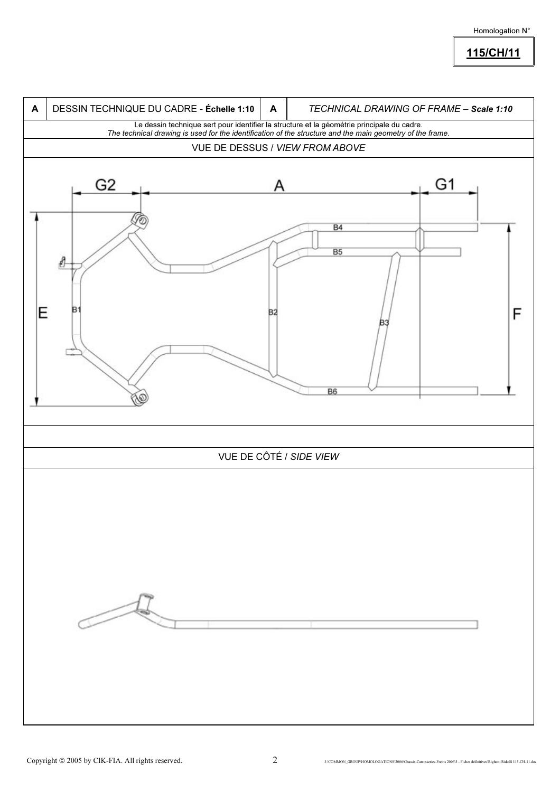#### Homologation N°

#### 115/CH/11

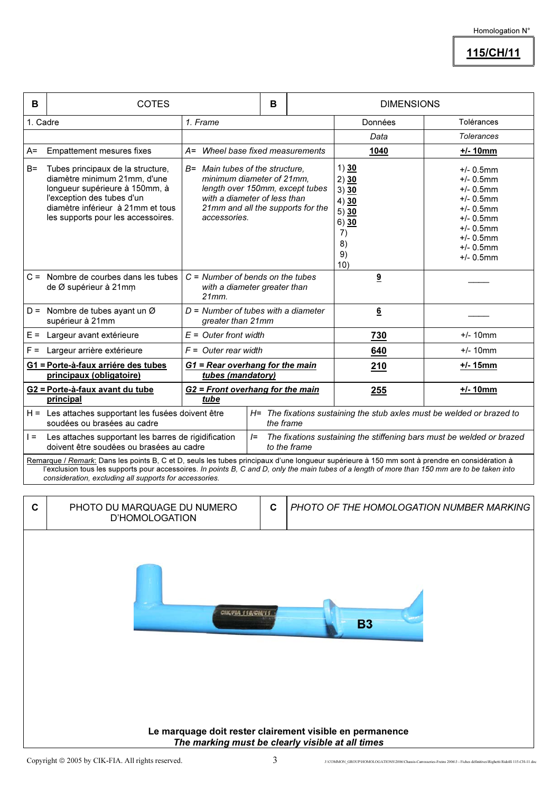115/CH/11

| B                                                                                                                                                                                                                                                                                                                                                         | <b>COTES</b>                                                                                                                                                                                                 |                                                                                                                                                                                      | B |         | <b>DIMENSIONS</b>                                                             |                                                                                                                                                              |  |
|-----------------------------------------------------------------------------------------------------------------------------------------------------------------------------------------------------------------------------------------------------------------------------------------------------------------------------------------------------------|--------------------------------------------------------------------------------------------------------------------------------------------------------------------------------------------------------------|--------------------------------------------------------------------------------------------------------------------------------------------------------------------------------------|---|---------|-------------------------------------------------------------------------------|--------------------------------------------------------------------------------------------------------------------------------------------------------------|--|
| 1. Cadre                                                                                                                                                                                                                                                                                                                                                  |                                                                                                                                                                                                              | 1. Frame                                                                                                                                                                             |   | Données | Tolérances                                                                    |                                                                                                                                                              |  |
|                                                                                                                                                                                                                                                                                                                                                           |                                                                                                                                                                                                              |                                                                                                                                                                                      |   |         | Data                                                                          | <b>Tolerances</b>                                                                                                                                            |  |
| $A=$                                                                                                                                                                                                                                                                                                                                                      | <b>Empattement mesures fixes</b>                                                                                                                                                                             | A= Wheel base fixed measurements                                                                                                                                                     |   |         | <u>1040</u>                                                                   | $+/- 10mm$                                                                                                                                                   |  |
| B=                                                                                                                                                                                                                                                                                                                                                        | Tubes principaux de la structure,<br>diamètre minimum 21mm, d'une<br>longueur supérieure à 150mm, à<br>l'exception des tubes d'un<br>diamètre inférieur à 21mm et tous<br>les supports pour les accessoires. | B= Main tubes of the structure.<br>minimum diameter of 21mm,<br>length over 150mm, except tubes<br>with a diameter of less than<br>21mm and all the supports for the<br>accessories. |   |         | 1) $30$<br>2) 30<br>3) 30<br>4) 30<br>5) 30<br>6) 30<br>7)<br>8)<br>9)<br>10) | $+/- 0.5$ mm<br>$+/- 0.5$ mm<br>$+/- 0.5$ mm<br>$+/- 0.5$ mm<br>$+/- 0.5$ mm<br>$+/- 0.5$ mm<br>$+/- 0.5$ mm<br>$+/- 0.5$ mm<br>$+/- 0.5$ mm<br>$+/- 0.5$ mm |  |
|                                                                                                                                                                                                                                                                                                                                                           | $C =$ Nombre de courbes dans les tubes<br>de Ø supérieur à 21mm                                                                                                                                              | $C =$ Number of bends on the tubes<br>with a diameter greater than<br>21mm.                                                                                                          |   |         | 9                                                                             |                                                                                                                                                              |  |
|                                                                                                                                                                                                                                                                                                                                                           | D = Nombre de tubes ayant un $\varnothing$<br>supérieur à 21mm                                                                                                                                               | $D =$ Number of tubes with a diameter<br>greater than 21mm                                                                                                                           |   |         | $6\overline{6}$                                                               |                                                                                                                                                              |  |
|                                                                                                                                                                                                                                                                                                                                                           | E = Largeur avant extérieure                                                                                                                                                                                 | $E =$ Outer front width                                                                                                                                                              |   |         | <b>730</b>                                                                    | $+/- 10$ mm                                                                                                                                                  |  |
| $F =$                                                                                                                                                                                                                                                                                                                                                     | Largeur arrière extérieure                                                                                                                                                                                   | $F =$ Outer rear width                                                                                                                                                               |   |         | 640                                                                           | $+/- 10$ mm                                                                                                                                                  |  |
|                                                                                                                                                                                                                                                                                                                                                           | G1 = Porte-à-faux arriére des tubes<br>principaux (obligatoire)                                                                                                                                              | G1 = Rear overhang for the main<br>tubes (mandatory)                                                                                                                                 |   |         | 210                                                                           | <u>+/- 15mm</u>                                                                                                                                              |  |
|                                                                                                                                                                                                                                                                                                                                                           | G2 = Porte-à-faux avant du tube<br>principal                                                                                                                                                                 | G2 = Front overhang for the main<br>tube                                                                                                                                             |   |         | 255                                                                           | $+/- 10mm$                                                                                                                                                   |  |
|                                                                                                                                                                                                                                                                                                                                                           | H = Les attaches supportant les fusées doivent être<br>H= The fixations sustaining the stub axles must be welded or brazed to<br>soudées ou brasées au cadre<br>the frame                                    |                                                                                                                                                                                      |   |         |                                                                               |                                                                                                                                                              |  |
|                                                                                                                                                                                                                                                                                                                                                           | $l =$<br>The fixations sustaining the stiffening bars must be welded or brazed<br>Les attaches supportant les barres de rigidification<br>$l =$<br>doivent être soudées ou brasées au cadre<br>to the frame  |                                                                                                                                                                                      |   |         |                                                                               |                                                                                                                                                              |  |
| Remarque / Remark: Dans les points B, C et D, seuls les tubes principaux d'une longueur supérieure à 150 mm sont à prendre en considération à<br>l'exclusion tous les supports pour accessoires. In points B, C and D, only the main tubes of a length of more than 150 mm are to be taken into<br>consideration, excluding all supports for accessories. |                                                                                                                                                                                                              |                                                                                                                                                                                      |   |         |                                                                               |                                                                                                                                                              |  |
| C                                                                                                                                                                                                                                                                                                                                                         | PHOTO DU MARQUAGE DU NUMERO                                                                                                                                                                                  |                                                                                                                                                                                      | C |         |                                                                               | PHOTO OF THE HOMOLOGATION NUMBER MARKING                                                                                                                     |  |
|                                                                                                                                                                                                                                                                                                                                                           | <b>D'HOMOLOGATION</b>                                                                                                                                                                                        |                                                                                                                                                                                      |   |         |                                                                               |                                                                                                                                                              |  |
| CIK/FIA 115/CH/11<br><b>B3</b>                                                                                                                                                                                                                                                                                                                            |                                                                                                                                                                                                              |                                                                                                                                                                                      |   |         |                                                                               |                                                                                                                                                              |  |

Le marquage doit rester clairement visible en permanence The marking must be clearly visible at all times